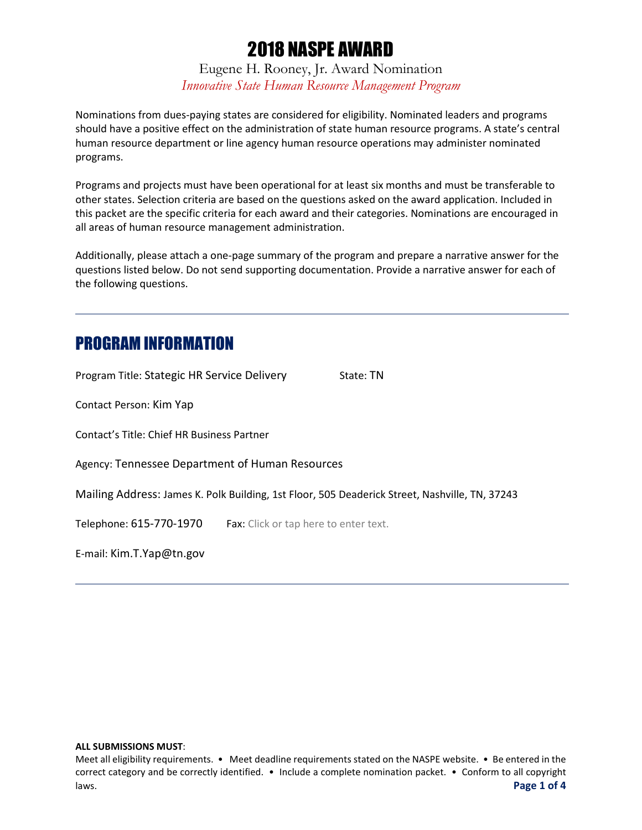Eugene H. Rooney, Jr. Award Nomination *Innovative State Human Resource Management Program*

Nominations from dues-paying states are considered for eligibility. Nominated leaders and programs should have a positive effect on the administration of state human resource programs. A state's central human resource department or line agency human resource operations may administer nominated programs.

Programs and projects must have been operational for at least six months and must be transferable to other states. Selection criteria are based on the questions asked on the award application. Included in this packet are the specific criteria for each award and their categories. Nominations are encouraged in all areas of human resource management administration.

Additionally, please attach a one-page summary of the program and prepare a narrative answer for the questions listed below. Do not send supporting documentation. Provide a narrative answer for each of the following questions.

## PROGRAM INFORMATION

| Program Title: Stategic HR Service Delivery     |                                       | State: TN                                                                                      |
|-------------------------------------------------|---------------------------------------|------------------------------------------------------------------------------------------------|
| Contact Person: Kim Yap                         |                                       |                                                                                                |
| Contact's Title: Chief HR Business Partner      |                                       |                                                                                                |
| Agency: Tennessee Department of Human Resources |                                       |                                                                                                |
|                                                 |                                       | Mailing Address: James K. Polk Building, 1st Floor, 505 Deaderick Street, Nashville, TN, 37243 |
| Telephone: 615-770-1970                         | Fax: Click or tap here to enter text. |                                                                                                |
| E-mail: Kim.T.Yap@tn.gov                        |                                       |                                                                                                |

#### **ALL SUBMISSIONS MUST**:

Meet all eligibility requirements. • Meet deadline requirements stated on the NASPE website. • Be entered in the correct category and be correctly identified. • Include a complete nomination packet. • Conform to all copyright laws. **Page 1 of 4**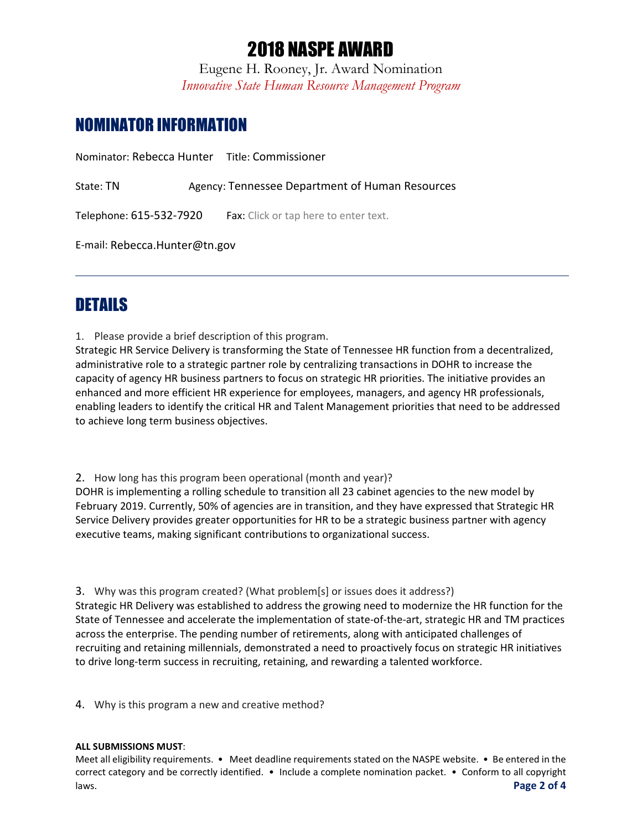Eugene H. Rooney, Jr. Award Nomination *Innovative State Human Resource Management Program*

# NOMINATOR INFORMATION

Nominator: Rebecca Hunter Title: Commissioner

State: TN Agency: Tennessee Department of Human Resources

Telephone: 615-532-7920 Fax: Click or tap here to enter text.

E-mail: Rebecca.Hunter@tn.gov

# DETAILS

1. Please provide a brief description of this program.

Strategic HR Service Delivery is transforming the State of Tennessee HR function from a decentralized, administrative role to a strategic partner role by centralizing transactions in DOHR to increase the capacity of agency HR business partners to focus on strategic HR priorities. The initiative provides an enhanced and more efficient HR experience for employees, managers, and agency HR professionals, enabling leaders to identify the critical HR and Talent Management priorities that need to be addressed to achieve long term business objectives.

2. How long has this program been operational (month and year)?

DOHR is implementing a rolling schedule to transition all 23 cabinet agencies to the new model by February 2019. Currently, 50% of agencies are in transition, and they have expressed that Strategic HR Service Delivery provides greater opportunities for HR to be a strategic business partner with agency executive teams, making significant contributions to organizational success.

3. Why was this program created? (What problem[s] or issues does it address?)

Strategic HR Delivery was established to address the growing need to modernize the HR function for the State of Tennessee and accelerate the implementation of state-of-the-art, strategic HR and TM practices across the enterprise. The pending number of retirements, along with anticipated challenges of recruiting and retaining millennials, demonstrated a need to proactively focus on strategic HR initiatives to drive long-term success in recruiting, retaining, and rewarding a talented workforce.

4. Why is this program a new and creative method?

### **ALL SUBMISSIONS MUST**:

Meet all eligibility requirements. • Meet deadline requirements stated on the NASPE website. • Be entered in the correct category and be correctly identified. • Include a complete nomination packet. • Conform to all copyright laws. **Page 2 of 4**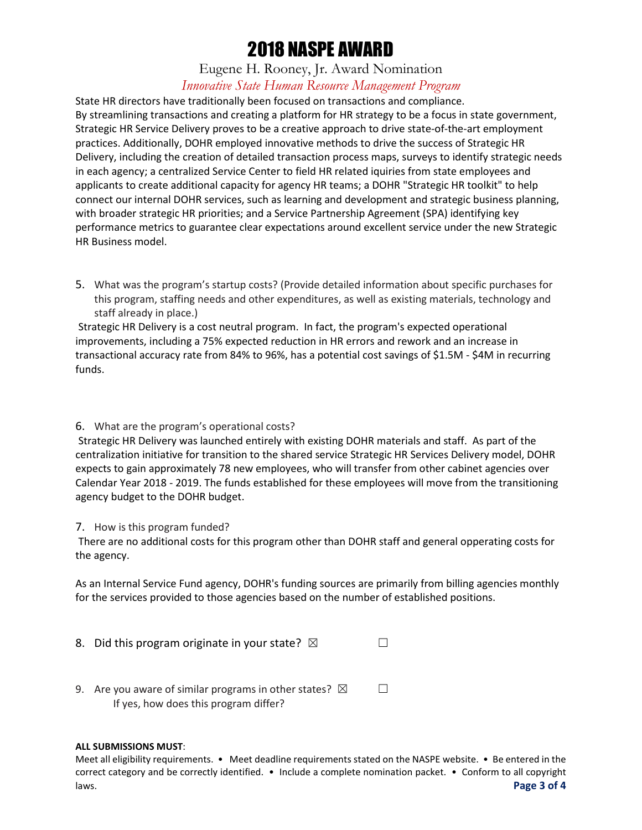## Eugene H. Rooney, Jr. Award Nomination *Innovative State Human Resource Management Program*

State HR directors have traditionally been focused on transactions and compliance. By streamlining transactions and creating a platform for HR strategy to be a focus in state government, Strategic HR Service Delivery proves to be a creative approach to drive state-of-the-art employment practices. Additionally, DOHR employed innovative methods to drive the success of Strategic HR Delivery, including the creation of detailed transaction process maps, surveys to identify strategic needs in each agency; a centralized Service Center to field HR related iquiries from state employees and applicants to create additional capacity for agency HR teams; a DOHR "Strategic HR toolkit" to help connect our internal DOHR services, such as learning and development and strategic business planning, with broader strategic HR priorities; and a Service Partnership Agreement (SPA) identifying key performance metrics to guarantee clear expectations around excellent service under the new Strategic HR Business model.

5. What was the program's startup costs? (Provide detailed information about specific purchases for this program, staffing needs and other expenditures, as well as existing materials, technology and staff already in place.)

Strategic HR Delivery is a cost neutral program. In fact, the program's expected operational improvements, including a 75% expected reduction in HR errors and rework and an increase in transactional accuracy rate from 84% to 96%, has a potential cost savings of \$1.5M - \$4M in recurring funds.

### 6. What are the program's operational costs?

Strategic HR Delivery was launched entirely with existing DOHR materials and staff. As part of the centralization initiative for transition to the shared service Strategic HR Services Delivery model, DOHR expects to gain approximately 78 new employees, who will transfer from other cabinet agencies over Calendar Year 2018 - 2019. The funds established for these employees will move from the transitioning agency budget to the DOHR budget.

### 7. How is this program funded?

There are no additional costs for this program other than DOHR staff and general opperating costs for the agency.

As an Internal Service Fund agency, DOHR's funding sources are primarily from billing agencies monthly for the services provided to those agencies based on the number of established positions.

| 8. Did this program originate in your state? $\boxtimes$ |  |
|----------------------------------------------------------|--|
|                                                          |  |

9. Are you aware of similar programs in other states?  $\boxtimes$   $\Box$ If yes, how does this program differ?

### **ALL SUBMISSIONS MUST**:

Meet all eligibility requirements. • Meet deadline requirements stated on the NASPE website. • Be entered in the correct category and be correctly identified. • Include a complete nomination packet. • Conform to all copyright laws. **Page 3 of 4**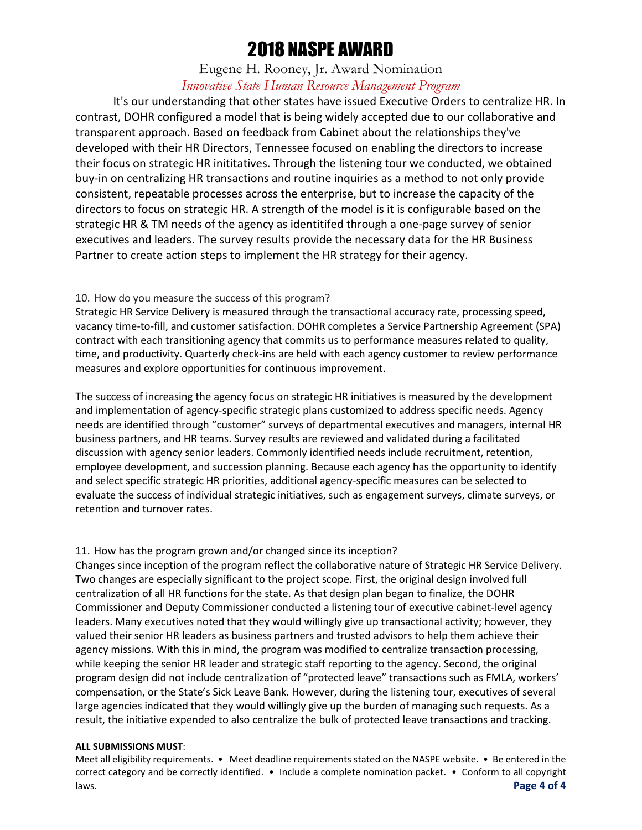### Eugene H. Rooney, Jr. Award Nomination *Innovative State Human Resource Management Program*

It's our understanding that other states have issued Executive Orders to centralize HR. In contrast, DOHR configured a model that is being widely accepted due to our collaborative and transparent approach. Based on feedback from Cabinet about the relationships they've developed with their HR Directors, Tennessee focused on enabling the directors to increase their focus on strategic HR inititatives. Through the listening tour we conducted, we obtained buy-in on centralizing HR transactions and routine inquiries as a method to not only provide consistent, repeatable processes across the enterprise, but to increase the capacity of the directors to focus on strategic HR. A strength of the model is it is configurable based on the strategic HR & TM needs of the agency as identitifed through a one-page survey of senior executives and leaders. The survey results provide the necessary data for the HR Business Partner to create action steps to implement the HR strategy for their agency.

### 10. How do you measure the success of this program?

Strategic HR Service Delivery is measured through the transactional accuracy rate, processing speed, vacancy time-to-fill, and customer satisfaction. DOHR completes a Service Partnership Agreement (SPA) contract with each transitioning agency that commits us to performance measures related to quality, time, and productivity. Quarterly check-ins are held with each agency customer to review performance measures and explore opportunities for continuous improvement.

The success of increasing the agency focus on strategic HR initiatives is measured by the development and implementation of agency-specific strategic plans customized to address specific needs. Agency needs are identified through "customer" surveys of departmental executives and managers, internal HR business partners, and HR teams. Survey results are reviewed and validated during a facilitated discussion with agency senior leaders. Commonly identified needs include recruitment, retention, employee development, and succession planning. Because each agency has the opportunity to identify and select specific strategic HR priorities, additional agency-specific measures can be selected to evaluate the success of individual strategic initiatives, such as engagement surveys, climate surveys, or retention and turnover rates.

### 11. How has the program grown and/or changed since its inception?

Changes since inception of the program reflect the collaborative nature of Strategic HR Service Delivery. Two changes are especially significant to the project scope. First, the original design involved full centralization of all HR functions for the state. As that design plan began to finalize, the DOHR Commissioner and Deputy Commissioner conducted a listening tour of executive cabinet-level agency leaders. Many executives noted that they would willingly give up transactional activity; however, they valued their senior HR leaders as business partners and trusted advisors to help them achieve their agency missions. With this in mind, the program was modified to centralize transaction processing, while keeping the senior HR leader and strategic staff reporting to the agency. Second, the original program design did not include centralization of "protected leave" transactions such as FMLA, workers' compensation, or the State's Sick Leave Bank. However, during the listening tour, executives of several large agencies indicated that they would willingly give up the burden of managing such requests. As a result, the initiative expended to also centralize the bulk of protected leave transactions and tracking.

### **ALL SUBMISSIONS MUST**:

Meet all eligibility requirements. • Meet deadline requirements stated on the NASPE website. • Be entered in the correct category and be correctly identified. • Include a complete nomination packet. • Conform to all copyright laws. **Page 4 of 4**